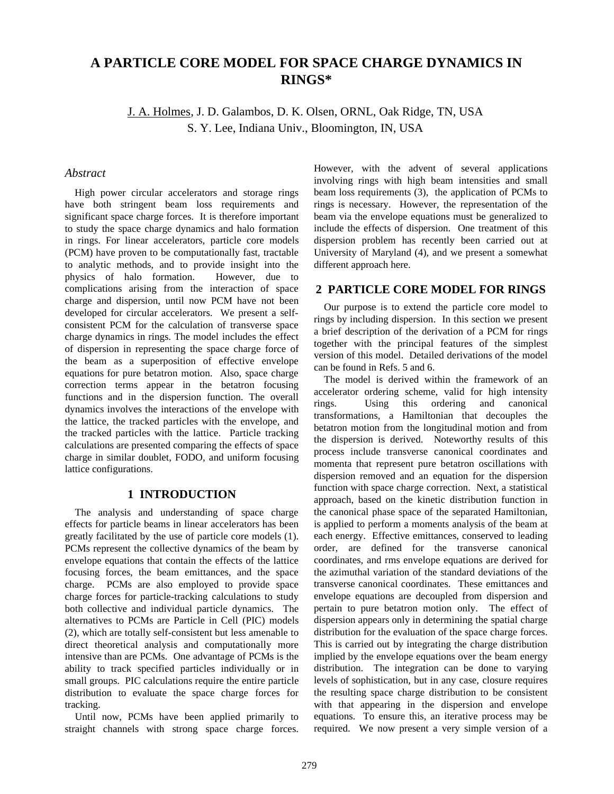# **A PARTICLE CORE MODEL FOR SPACE CHARGE DYNAMICS IN RINGS\***

J. A. Holmes, J. D. Galambos, D. K. Olsen, ORNL, Oak Ridge, TN, USA S. Y. Lee, Indiana Univ., Bloomington, IN, USA

### *Abstract*

High power circular accelerators and storage rings have both stringent beam loss requirements and significant space charge forces. It is therefore important to study the space charge dynamics and halo formation in rings. For linear accelerators, particle core models (PCM) have proven to be computationally fast, tractable to analytic methods, and to provide insight into the physics of halo formation. However, due to complications arising from the interaction of space charge and dispersion, until now PCM have not been developed for circular accelerators. We present a selfconsistent PCM for the calculation of transverse space charge dynamics in rings. The model includes the effect of dispersion in representing the space charge force of the beam as a superposition of effective envelope equations for pure betatron motion. Also, space charge correction terms appear in the betatron focusing functions and in the dispersion function. The overall dynamics involves the interactions of the envelope with the lattice, the tracked particles with the envelope, and the tracked particles with the lattice. Particle tracking calculations are presented comparing the effects of space charge in similar doublet, FODO, and uniform focusing lattice configurations.

## **1 INTRODUCTION**

The analysis and understanding of space charge effects for particle beams in linear accelerators has been greatly facilitated by the use of particle core models (1). PCMs represent the collective dynamics of the beam by envelope equations that contain the effects of the lattice focusing forces, the beam emittances, and the space charge. PCMs are also employed to provide space charge forces for particle-tracking calculations to study both collective and individual particle dynamics. The alternatives to PCMs are Particle in Cell (PIC) models (2), which are totally self-consistent but less amenable to direct theoretical analysis and computationally more intensive than are PCMs. One advantage of PCMs is the ability to track specified particles individually or in small groups. PIC calculations require the entire particle distribution to evaluate the space charge forces for tracking.

Until now, PCMs have been applied primarily to straight channels with strong space charge forces. However, with the advent of several applications involving rings with high beam intensities and small beam loss requirements (3), the application of PCMs to rings is necessary. However, the representation of the beam via the envelope equations must be generalized to include the effects of dispersion. One treatment of this dispersion problem has recently been carried out at University of Maryland (4), and we present a somewhat different approach here.

# **2 PARTICLE CORE MODEL FOR RINGS**

Our purpose is to extend the particle core model to rings by including dispersion. In this section we present a brief description of the derivation of a PCM for rings together with the principal features of the simplest version of this model. Detailed derivations of the model can be found in Refs. 5 and 6.

The model is derived within the framework of an accelerator ordering scheme, valid for high intensity rings. Using this ordering and canonical transformations, a Hamiltonian that decouples the betatron motion from the longitudinal motion and from the dispersion is derived. Noteworthy results of this process include transverse canonical coordinates and momenta that represent pure betatron oscillations with dispersion removed and an equation for the dispersion function with space charge correction. Next, a statistical approach, based on the kinetic distribution function in the canonical phase space of the separated Hamiltonian, is applied to perform a moments analysis of the beam at each energy. Effective emittances, conserved to leading order, are defined for the transverse canonical coordinates, and rms envelope equations are derived for the azimuthal variation of the standard deviations of the transverse canonical coordinates. These emittances and envelope equations are decoupled from dispersion and pertain to pure betatron motion only. The effect of dispersion appears only in determining the spatial charge distribution for the evaluation of the space charge forces. This is carried out by integrating the charge distribution implied by the envelope equations over the beam energy distribution. The integration can be done to varying levels of sophistication, but in any case, closure requires the resulting space charge distribution to be consistent with that appearing in the dispersion and envelope equations. To ensure this, an iterative process may be required. We now present a very simple version of a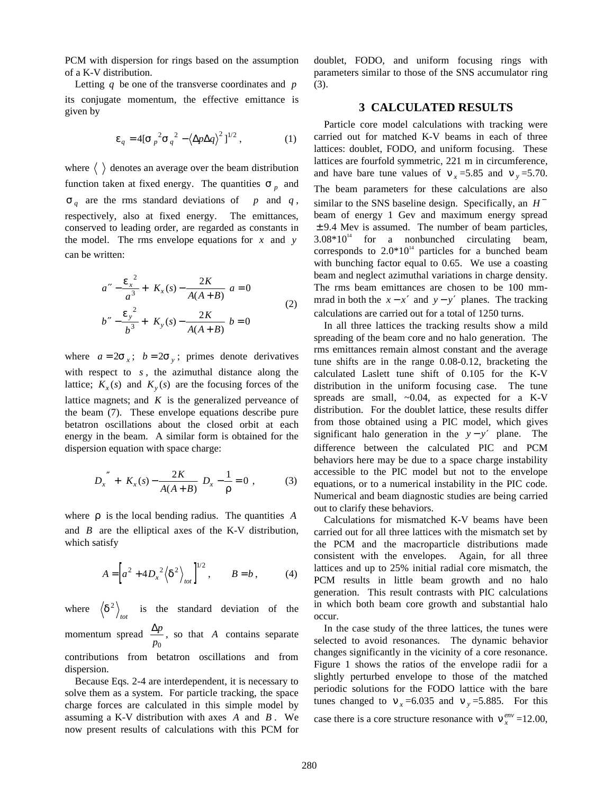PCM with dispersion for rings based on the assumption of a K-V distribution.

Letting *q* be one of the transverse coordinates and *p* its conjugate momentum, the effective emittance is given by

$$
\varepsilon_q = 4\left[\sigma_p^2 \sigma_q^2 - \left\langle \Delta p \Delta q \right\rangle^2 \right]^{1/2},\tag{1}
$$

where  $\langle \rangle$  denotes an average over the beam distribution function taken at fixed energy. The quantities  $\sigma_p$  and  $\sigma_q$  are the rms standard deviations of *p* and *q*, respectively, also at fixed energy. The emittances, conserved to leading order, are regarded as constants in the model. The rms envelope equations for *x* and *y* can be written:

$$
a'' - \frac{\varepsilon_x^2}{a^3} + \left[K_x(s) - \frac{2K}{A(A+B)}\right]a = 0
$$
  

$$
b'' - \frac{\varepsilon_y^2}{b^3} + \left[K_y(s) - \frac{2K}{A(A+B)}\right]b = 0
$$
 (2)

where  $a = 2\sigma_x$ ;  $b = 2\sigma_y$ ; primes denote derivatives with respect to *s* , the azimuthal distance along the lattice;  $K_x(s)$  and  $K_y(s)$  are the focusing forces of the lattice magnets; and *K* is the generalized perveance of the beam (7). These envelope equations describe pure betatron oscillations about the closed orbit at each energy in the beam. A similar form is obtained for the dispersion equation with space charge:

$$
D_x'' + \left[K_x(s) - \frac{2K}{A(A+B)}\right]D_x - \frac{1}{\rho} = 0 \tag{3}
$$

where ρ is the local bending radius. The quantities *A* and *B* are the elliptical axes of the K-V distribution, which satisfy

$$
A = \left[ a^2 + 4D_x^2 \left\langle \delta^2 \right\rangle_{tot} \right]^{1/2}, \qquad B = b , \tag{4}
$$

where  $\left\langle \delta^2 \right\rangle_{tot}$  is the standard deviation of the momentum spread ∆*<sup>p</sup>*  $\frac{dp}{p_0}$ , so that *A* contains separate contributions from betatron oscillations and from

dispersion.

Because Eqs. 2-4 are interdependent, it is necessary to solve them as a system. For particle tracking, the space charge forces are calculated in this simple model by assuming a K-V distribution with axes *A* and *B* . We now present results of calculations with this PCM for doublet, FODO, and uniform focusing rings with parameters similar to those of the SNS accumulator ring (3).

### **3 CALCULATED RESULTS**

Particle core model calculations with tracking were carried out for matched K-V beams in each of three lattices: doublet, FODO, and uniform focusing. These lattices are fourfold symmetric, 221 m in circumference, and have bare tune values of  $v_x = 5.85$  and  $v_y = 5.70$ . The beam parameters for these calculations are also similar to the SNS baseline design. Specifically, an *H*<sup>−</sup> beam of energy 1 Gev and maximum energy spread  $\pm$  9.4 Mev is assumed. The number of beam particles,  $3.08*10^{14}$  for a nonbunched circulating beam, corresponds to  $2.0*10<sup>14</sup>$  particles for a bunched beam with bunching factor equal to 0.65. We use a coasting beam and neglect azimuthal variations in charge density. The rms beam emittances are chosen to be 100 mmmrad in both the  $x - x'$  and  $y - y'$  planes. The tracking calculations are carried out for a total of 1250 turns.

In all three lattices the tracking results show a mild spreading of the beam core and no halo generation. The rms emittances remain almost constant and the average tune shifts are in the range 0.08-0.12, bracketing the calculated Laslett tune shift of 0.105 for the K-V distribution in the uniform focusing case. The tune spreads are small, ~0.04, as expected for a K-V distribution. For the doublet lattice, these results differ from those obtained using a PIC model, which gives significant halo generation in the  $y - y'$  plane. The difference between the calculated PIC and PCM behaviors here may be due to a space charge instability accessible to the PIC model but not to the envelope equations, or to a numerical instability in the PIC code. Numerical and beam diagnostic studies are being carried out to clarify these behaviors.

Calculations for mismatched K-V beams have been carried out for all three lattices with the mismatch set by the PCM and the macroparticle distributions made consistent with the envelopes. Again, for all three lattices and up to 25% initial radial core mismatch, the PCM results in little beam growth and no halo generation. This result contrasts with PIC calculations in which both beam core growth and substantial halo occur.

In the case study of the three lattices, the tunes were selected to avoid resonances. The dynamic behavior changes significantly in the vicinity of a core resonance. Figure 1 shows the ratios of the envelope radii for a slightly perturbed envelope to those of the matched periodic solutions for the FODO lattice with the bare tunes changed to  $v_x = 6.035$  and  $v_y = 5.885$ . For this case there is a core structure resonance with  $v_x^{env}$  =12.00,